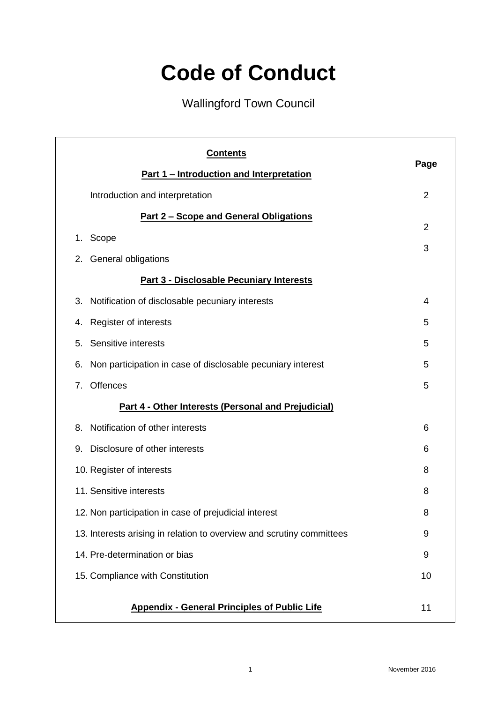# **Code of Conduct**

# Wallingford Town Council

| <b>Contents</b>                                                       |                |
|-----------------------------------------------------------------------|----------------|
| Part 1 - Introduction and Interpretation                              | Page           |
| Introduction and interpretation                                       | $\overline{2}$ |
| <u>Part 2 - Scope and General Obligations</u>                         | $\overline{2}$ |
| Scope<br>1.                                                           |                |
| <b>General obligations</b><br>2.                                      | 3              |
| <b>Part 3 - Disclosable Pecuniary Interests</b>                       |                |
| 3.<br>Notification of disclosable pecuniary interests                 | 4              |
| Register of interests<br>4.                                           | 5              |
| Sensitive interests<br>5.                                             | 5              |
| Non participation in case of disclosable pecuniary interest<br>6.     | 5              |
| <b>Offences</b><br>7.                                                 | 5              |
| <b>Part 4 - Other Interests (Personal and Prejudicial)</b>            |                |
| Notification of other interests<br>8.                                 | 6              |
| Disclosure of other interests<br>9.                                   | 6              |
| 10. Register of interests                                             | 8              |
| 11. Sensitive interests                                               | 8              |
| 12. Non participation in case of prejudicial interest                 | ୪              |
| 13. Interests arising in relation to overview and scrutiny committees | 9              |
| 14. Pre-determination or bias                                         | 9              |
| 15. Compliance with Constitution                                      | 10             |
| <b>Appendix - General Principles of Public Life</b>                   | 11             |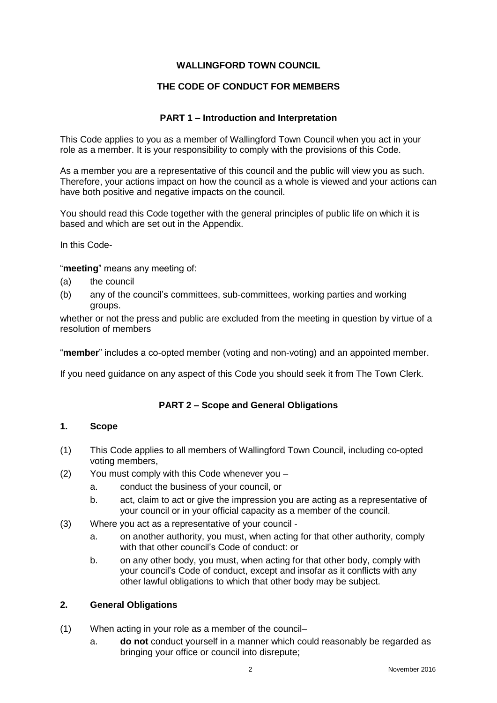#### **WALLINGFORD TOWN COUNCIL**

#### **THE CODE OF CONDUCT FOR MEMBERS**

#### **PART 1 – Introduction and Interpretation**

This Code applies to you as a member of Wallingford Town Council when you act in your role as a member. It is your responsibility to comply with the provisions of this Code.

As a member you are a representative of this council and the public will view you as such. Therefore, your actions impact on how the council as a whole is viewed and your actions can have both positive and negative impacts on the council.

You should read this Code together with the general principles of public life on which it is based and which are set out in the Appendix.

In this Code-

"**meeting**" means any meeting of:

- (a) the council
- (b) any of the council's committees, sub-committees, working parties and working groups.

whether or not the press and public are excluded from the meeting in question by virtue of a resolution of members

"**member**" includes a co-opted member (voting and non-voting) and an appointed member.

If you need guidance on any aspect of this Code you should seek it from The Town Clerk.

#### **PART 2 – Scope and General Obligations**

#### **1. Scope**

- (1) This Code applies to all members of Wallingford Town Council, including co-opted voting members,
- (2) You must comply with this Code whenever you
	- a. conduct the business of your council, or
	- b. act, claim to act or give the impression you are acting as a representative of your council or in your official capacity as a member of the council.
- (3) Where you act as a representative of your council
	- a. on another authority, you must, when acting for that other authority, comply with that other council's Code of conduct: or
	- b. on any other body, you must, when acting for that other body, comply with your council's Code of conduct, except and insofar as it conflicts with any other lawful obligations to which that other body may be subject.

#### **2. General Obligations**

- (1) When acting in your role as a member of the council–
	- a. **do not** conduct yourself in a manner which could reasonably be regarded as bringing your office or council into disrepute;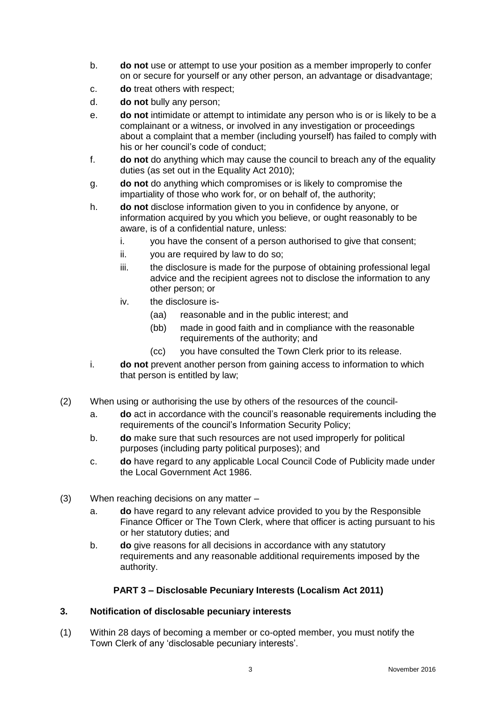- b. **do not** use or attempt to use your position as a member improperly to confer on or secure for yourself or any other person, an advantage or disadvantage;
- c. **do** treat others with respect;
- d. **do not** bully any person;
- e. **do not** intimidate or attempt to intimidate any person who is or is likely to be a complainant or a witness, or involved in any investigation or proceedings about a complaint that a member (including yourself) has failed to comply with his or her council's code of conduct;
- f. **do not** do anything which may cause the council to breach any of the equality duties (as set out in the Equality Act 2010);
- g. **do not** do anything which compromises or is likely to compromise the impartiality of those who work for, or on behalf of, the authority;
- h. **do not** disclose information given to you in confidence by anyone, or information acquired by you which you believe, or ought reasonably to be aware, is of a confidential nature, unless:
	- i. you have the consent of a person authorised to give that consent;
	- ii. you are required by law to do so;
	- iii. the disclosure is made for the purpose of obtaining professional legal advice and the recipient agrees not to disclose the information to any other person; or
	- iv. the disclosure is-
		- (aa) reasonable and in the public interest; and
		- (bb) made in good faith and in compliance with the reasonable requirements of the authority; and
		- (cc) you have consulted the Town Clerk prior to its release.
- i. **do not** prevent another person from gaining access to information to which that person is entitled by law;
- (2) When using or authorising the use by others of the resources of the council
	- a. **do** act in accordance with the council's reasonable requirements including the requirements of the council's Information Security Policy;
	- b. **do** make sure that such resources are not used improperly for political purposes (including party political purposes); and
	- c. **do** have regard to any applicable Local Council Code of Publicity made under the Local Government Act 1986.
- (3) When reaching decisions on any matter
	- a. **do** have regard to any relevant advice provided to you by the Responsible Finance Officer or The Town Clerk, where that officer is acting pursuant to his or her statutory duties; and
	- b. **do** give reasons for all decisions in accordance with any statutory requirements and any reasonable additional requirements imposed by the authority.

#### **PART 3 – Disclosable Pecuniary Interests (Localism Act 2011)**

#### **3. Notification of disclosable pecuniary interests**

(1) Within 28 days of becoming a member or co-opted member, you must notify the Town Clerk of any 'disclosable pecuniary interests'.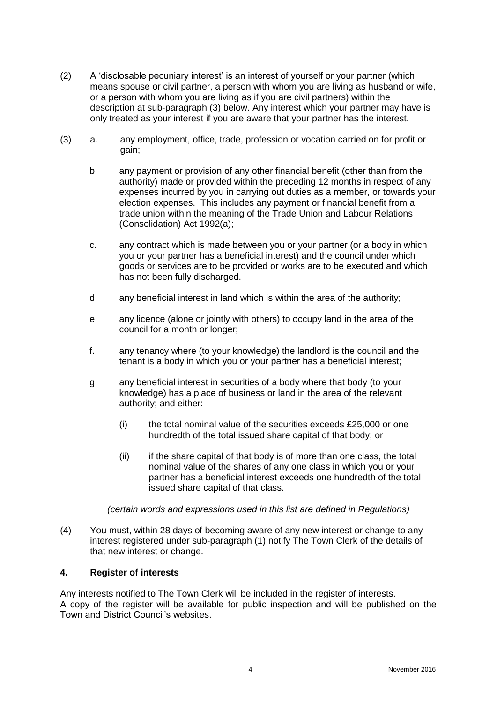- (2) A 'disclosable pecuniary interest' is an interest of yourself or your partner (which means spouse or civil partner, a person with whom you are living as husband or wife, or a person with whom you are living as if you are civil partners) within the description at sub-paragraph (3) below. Any interest which your partner may have is only treated as your interest if you are aware that your partner has the interest.
- (3) a. any employment, office, trade, profession or vocation carried on for profit or gain;
	- b. any payment or provision of any other financial benefit (other than from the authority) made or provided within the preceding 12 months in respect of any expenses incurred by you in carrying out duties as a member, or towards your election expenses. This includes any payment or financial benefit from a trade union within the meaning of the Trade Union and Labour Relations (Consolidation) Act 1992(a);
	- c. any contract which is made between you or your partner (or a body in which you or your partner has a beneficial interest) and the council under which goods or services are to be provided or works are to be executed and which has not been fully discharged.
	- d. any beneficial interest in land which is within the area of the authority;
	- e. any licence (alone or jointly with others) to occupy land in the area of the council for a month or longer;
	- f. any tenancy where (to your knowledge) the landlord is the council and the tenant is a body in which you or your partner has a beneficial interest;
	- g. any beneficial interest in securities of a body where that body (to your knowledge) has a place of business or land in the area of the relevant authority; and either:
		- (i) the total nominal value of the securities exceeds £25,000 or one hundredth of the total issued share capital of that body; or
		- (ii) if the share capital of that body is of more than one class, the total nominal value of the shares of any one class in which you or your partner has a beneficial interest exceeds one hundredth of the total issued share capital of that class.

*(certain words and expressions used in this list are defined in Regulations)*

(4) You must, within 28 days of becoming aware of any new interest or change to any interest registered under sub-paragraph (1) notify The Town Clerk of the details of that new interest or change.

#### **4. Register of interests**

Any interests notified to The Town Clerk will be included in the register of interests. A copy of the register will be available for public inspection and will be published on the Town and District Council's websites.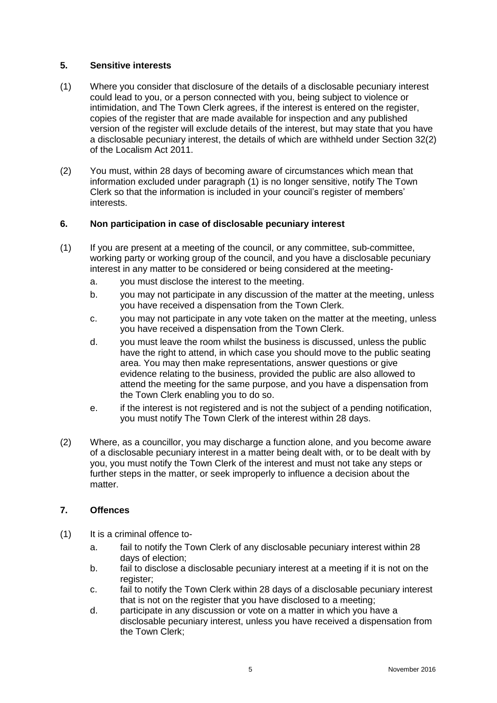#### **5. Sensitive interests**

- (1) Where you consider that disclosure of the details of a disclosable pecuniary interest could lead to you, or a person connected with you, being subject to violence or intimidation, and The Town Clerk agrees, if the interest is entered on the register, copies of the register that are made available for inspection and any published version of the register will exclude details of the interest, but may state that you have a disclosable pecuniary interest, the details of which are withheld under Section 32(2) of the Localism Act 2011.
- (2) You must, within 28 days of becoming aware of circumstances which mean that information excluded under paragraph (1) is no longer sensitive, notify The Town Clerk so that the information is included in your council's register of members' interests.

#### **6. Non participation in case of disclosable pecuniary interest**

- (1) If you are present at a meeting of the council, or any committee, sub-committee, working party or working group of the council, and you have a disclosable pecuniary interest in any matter to be considered or being considered at the meeting
	- a. you must disclose the interest to the meeting.
	- b. you may not participate in any discussion of the matter at the meeting, unless you have received a dispensation from the Town Clerk.
	- c. you may not participate in any vote taken on the matter at the meeting, unless you have received a dispensation from the Town Clerk.
	- d. you must leave the room whilst the business is discussed, unless the public have the right to attend, in which case you should move to the public seating area. You may then make representations, answer questions or give evidence relating to the business, provided the public are also allowed to attend the meeting for the same purpose, and you have a dispensation from the Town Clerk enabling you to do so.
	- e. if the interest is not registered and is not the subject of a pending notification, you must notify The Town Clerk of the interest within 28 days.
- (2) Where, as a councillor, you may discharge a function alone, and you become aware of a disclosable pecuniary interest in a matter being dealt with, or to be dealt with by you, you must notify the Town Clerk of the interest and must not take any steps or further steps in the matter, or seek improperly to influence a decision about the matter.

#### **7. Offences**

- (1) It is a criminal offence to
	- a. fail to notify the Town Clerk of any disclosable pecuniary interest within 28 days of election;
	- b. fail to disclose a disclosable pecuniary interest at a meeting if it is not on the register;
	- c. fail to notify the Town Clerk within 28 days of a disclosable pecuniary interest that is not on the register that you have disclosed to a meeting;
	- d. participate in any discussion or vote on a matter in which you have a disclosable pecuniary interest, unless you have received a dispensation from the Town Clerk;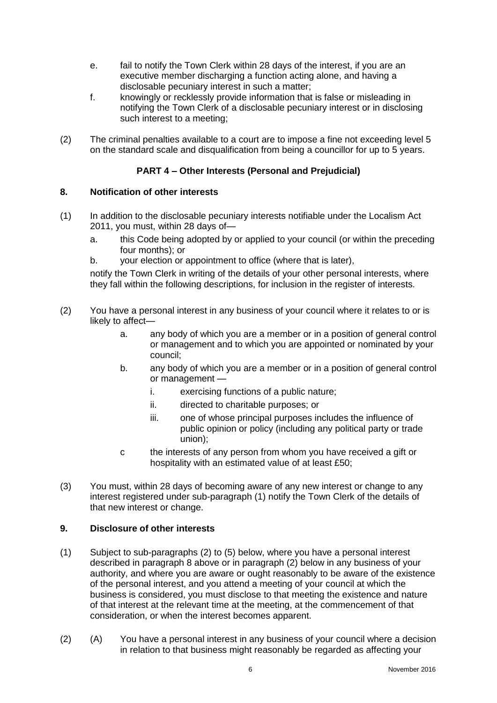- e. fail to notify the Town Clerk within 28 days of the interest, if you are an executive member discharging a function acting alone, and having a disclosable pecuniary interest in such a matter;
- f. knowingly or recklessly provide information that is false or misleading in notifying the Town Clerk of a disclosable pecuniary interest or in disclosing such interest to a meeting;
- (2) The criminal penalties available to a court are to impose a fine not exceeding level 5 on the standard scale and disqualification from being a councillor for up to 5 years.

### **PART 4 – Other Interests (Personal and Prejudicial)**

#### **8. Notification of other interests**

- (1) In addition to the disclosable pecuniary interests notifiable under the Localism Act 2011, you must, within 28 days of
	- a. this Code being adopted by or applied to your council (or within the preceding four months); or
	- b. your election or appointment to office (where that is later),

notify the Town Clerk in writing of the details of your other personal interests, where they fall within the following descriptions, for inclusion in the register of interests.

- (2) You have a personal interest in any business of your council where it relates to or is likely to affect
	- a. any body of which you are a member or in a position of general control or management and to which you are appointed or nominated by your council;
	- b. any body of which you are a member or in a position of general control or management
		- i. exercising functions of a public nature;
		- ii. directed to charitable purposes; or
		- iii. one of whose principal purposes includes the influence of public opinion or policy (including any political party or trade union);
	- c the interests of any person from whom you have received a gift or hospitality with an estimated value of at least £50;
- (3) You must, within 28 days of becoming aware of any new interest or change to any interest registered under sub-paragraph (1) notify the Town Clerk of the details of that new interest or change.

#### **9. Disclosure of other interests**

- (1) Subject to sub-paragraphs (2) to (5) below, where you have a personal interest described in paragraph 8 above or in paragraph (2) below in any business of your authority, and where you are aware or ought reasonably to be aware of the existence of the personal interest, and you attend a meeting of your council at which the business is considered, you must disclose to that meeting the existence and nature of that interest at the relevant time at the meeting, at the commencement of that consideration, or when the interest becomes apparent.
- (2) (A) You have a personal interest in any business of your council where a decision in relation to that business might reasonably be regarded as affecting your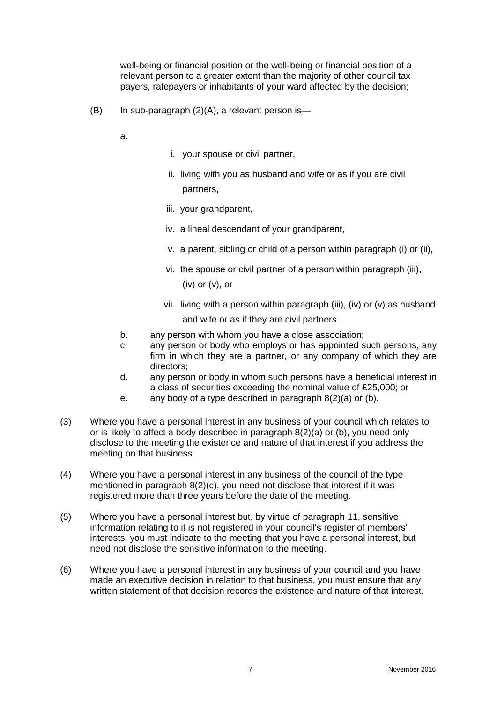well-being or financial position or the well-being or financial position of a relevant person to a greater extent than the majority of other council tax payers, ratepayers or inhabitants of your ward affected by the decision;

(B) In sub-paragraph (2)(A), a relevant person is—

a.

- i. your spouse or civil partner,
- ii. living with you as husband and wife or as if you are civil partners,
- iii. your grandparent,
- iv. a lineal descendant of your grandparent,
- v. a parent, sibling or child of a person within paragraph (i) or (ii),
- vi. the spouse or civil partner of a person within paragraph (iii), (iv) or (v), or
- vii. living with a person within paragraph (iii), (iv) or (v) as husband and wife or as if they are civil partners.
- b. any person with whom you have a close association;
- c. any person or body who employs or has appointed such persons, any firm in which they are a partner, or any company of which they are directors;
- d. any person or body in whom such persons have a beneficial interest in a class of securities exceeding the nominal value of £25,000; or
- e. any body of a type described in paragraph  $8(2)(a)$  or (b).
- (3) Where you have a personal interest in any business of your council which relates to or is likely to affect a body described in paragraph 8(2)(a) or (b), you need only disclose to the meeting the existence and nature of that interest if you address the meeting on that business.
- (4) Where you have a personal interest in any business of the council of the type mentioned in paragraph 8(2)(c), you need not disclose that interest if it was registered more than three years before the date of the meeting.
- (5) Where you have a personal interest but, by virtue of paragraph 11, sensitive information relating to it is not registered in your council's register of members' interests, you must indicate to the meeting that you have a personal interest, but need not disclose the sensitive information to the meeting.
- (6) Where you have a personal interest in any business of your council and you have made an executive decision in relation to that business, you must ensure that any written statement of that decision records the existence and nature of that interest.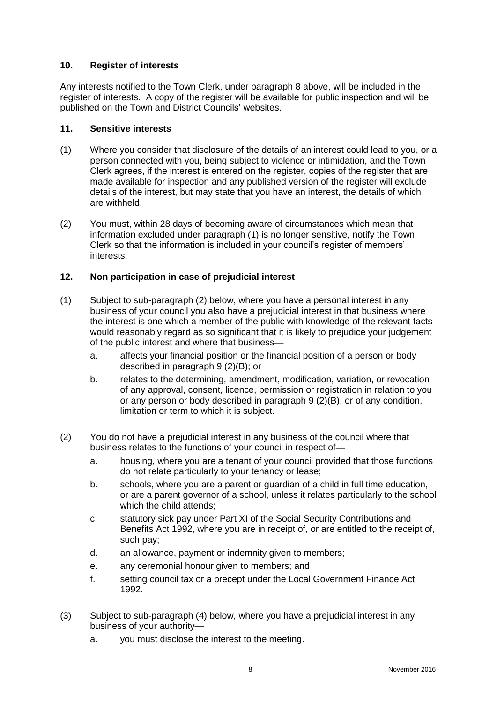#### **10. Register of interests**

Any interests notified to the Town Clerk, under paragraph 8 above, will be included in the register of interests. A copy of the register will be available for public inspection and will be published on the Town and District Councils' websites.

#### **11. Sensitive interests**

- (1) Where you consider that disclosure of the details of an interest could lead to you, or a person connected with you, being subject to violence or intimidation, and the Town Clerk agrees, if the interest is entered on the register, copies of the register that are made available for inspection and any published version of the register will exclude details of the interest, but may state that you have an interest, the details of which are withheld.
- (2) You must, within 28 days of becoming aware of circumstances which mean that information excluded under paragraph (1) is no longer sensitive, notify the Town Clerk so that the information is included in your council's register of members' interests.

#### **12. Non participation in case of prejudicial interest**

- (1) Subject to sub-paragraph (2) below, where you have a personal interest in any business of your council you also have a prejudicial interest in that business where the interest is one which a member of the public with knowledge of the relevant facts would reasonably regard as so significant that it is likely to prejudice your judgement of the public interest and where that business
	- a. affects your financial position or the financial position of a person or body described in paragraph 9 (2)(B); or
	- b. relates to the determining, amendment, modification, variation, or revocation of any approval, consent, licence, permission or registration in relation to you or any person or body described in paragraph 9 (2)(B), or of any condition, limitation or term to which it is subject.
- (2) You do not have a prejudicial interest in any business of the council where that business relates to the functions of your council in respect of
	- a. housing, where you are a tenant of your council provided that those functions do not relate particularly to your tenancy or lease;
	- b. schools, where you are a parent or guardian of a child in full time education, or are a parent governor of a school, unless it relates particularly to the school which the child attends;
	- c. statutory sick pay under Part XI of the Social Security Contributions and Benefits Act 1992, where you are in receipt of, or are entitled to the receipt of, such pay;
	- d. an allowance, payment or indemnity given to members;
	- e. any ceremonial honour given to members; and
	- f. setting council tax or a precept under the Local Government Finance Act 1992.
- (3) Subject to sub-paragraph (4) below, where you have a prejudicial interest in any business of your authority
	- a. you must disclose the interest to the meeting.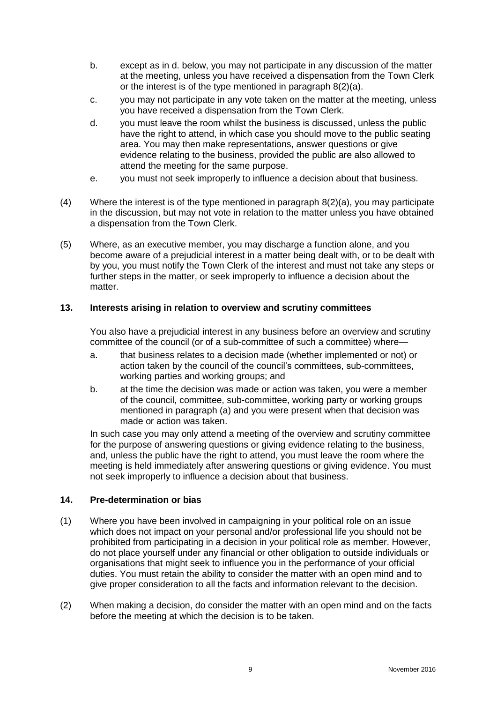- b. except as in d. below, you may not participate in any discussion of the matter at the meeting, unless you have received a dispensation from the Town Clerk or the interest is of the type mentioned in paragraph 8(2)(a).
- c. you may not participate in any vote taken on the matter at the meeting, unless you have received a dispensation from the Town Clerk.
- d. you must leave the room whilst the business is discussed, unless the public have the right to attend, in which case you should move to the public seating area. You may then make representations, answer questions or give evidence relating to the business, provided the public are also allowed to attend the meeting for the same purpose.
- e. you must not seek improperly to influence a decision about that business.
- (4) Where the interest is of the type mentioned in paragraph 8(2)(a), you may participate in the discussion, but may not vote in relation to the matter unless you have obtained a dispensation from the Town Clerk.
- (5) Where, as an executive member, you may discharge a function alone, and you become aware of a prejudicial interest in a matter being dealt with, or to be dealt with by you, you must notify the Town Clerk of the interest and must not take any steps or further steps in the matter, or seek improperly to influence a decision about the matter.

#### **13. Interests arising in relation to overview and scrutiny committees**

You also have a prejudicial interest in any business before an overview and scrutiny committee of the council (or of a sub-committee of such a committee) where—

- a. that business relates to a decision made (whether implemented or not) or action taken by the council of the council's committees, sub-committees, working parties and working groups; and
- b. at the time the decision was made or action was taken, you were a member of the council, committee, sub-committee, working party or working groups mentioned in paragraph (a) and you were present when that decision was made or action was taken.

In such case you may only attend a meeting of the overview and scrutiny committee for the purpose of answering questions or giving evidence relating to the business, and, unless the public have the right to attend, you must leave the room where the meeting is held immediately after answering questions or giving evidence. You must not seek improperly to influence a decision about that business.

#### **14. Pre-determination or bias**

- (1) Where you have been involved in campaigning in your political role on an issue which does not impact on your personal and/or professional life you should not be prohibited from participating in a decision in your political role as member. However, do not place yourself under any financial or other obligation to outside individuals or organisations that might seek to influence you in the performance of your official duties. You must retain the ability to consider the matter with an open mind and to give proper consideration to all the facts and information relevant to the decision.
- (2) When making a decision, do consider the matter with an open mind and on the facts before the meeting at which the decision is to be taken.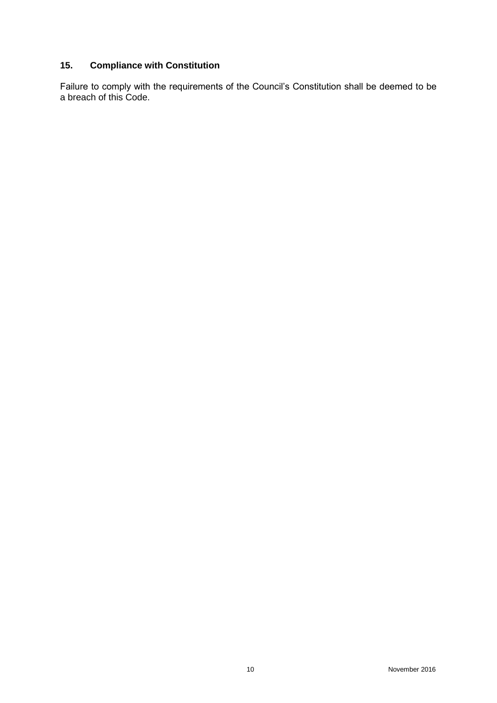## **15. Compliance with Constitution**

Failure to comply with the requirements of the Council's Constitution shall be deemed to be a breach of this Code.